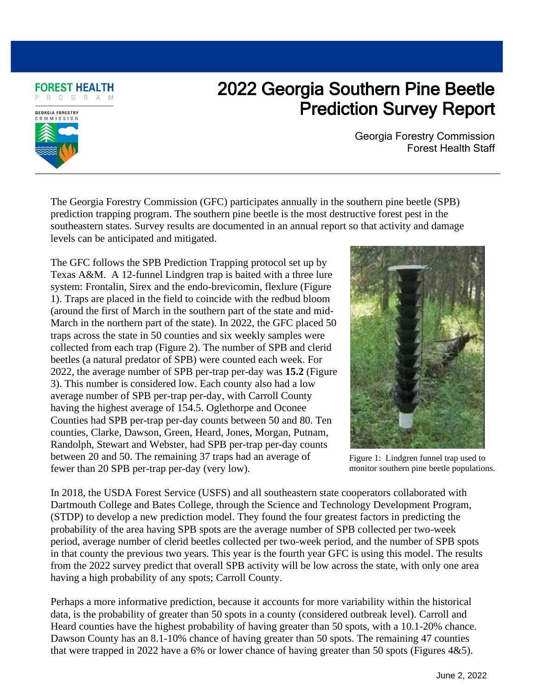## **FOREST HEALTH**  $O$  G **GEORGIA FORESTRY** COMMISSION

## 2022 Georgia Southern Pine Beetle Prediction Survey Report

Georgia Forestry Commission Forest Health Staff

The Georgia Forestry Commission (GFC) participates annually in the southern pine beetle (SPB) prediction trapping program. The southern pine beetle is the most destructive forest pest in the southeastern states. Survey results are documented in an annual report so that activity and damage levels can be anticipated and mitigated.

The GFC follows the SPB Prediction Trapping protocol set up by Texas A&M. A 12-funnel Lindgren trap is baited with a three lure system: Frontalin, Sirex and the endo-brevicomin, flexlure (Figure 1). Traps are placed in the field to coincide with the redbud bloom (around the first of March in the southern part of the state and mid-March in the northern part of the state). In 2022, the GFC placed 50 traps across the state in 50 counties and six weekly samples were collected from each trap (Figure 2). The number of SPB and clerid beetles (a natural predator of SPB) were counted each week. For 2022, the average number of SPB per-trap per-day was **15.2** (Figure 3). This number is considered low. Each county also had a low average number of SPB per-trap per-day, with Carroll County having the highest average of 154.5. Oglethorpe and Oconee Counties had SPB per-trap per-day counts between 50 and 80. Ten counties, Clarke, Dawson, Green, Heard, Jones, Morgan, Putnam, Randolph, Stewart and Webster, had SPB per-trap per-day counts between 20 and 50. The remaining 37 traps had an average of fewer than 20 SPB per-trap per-day (very low).



Figure 1: Lindgren funnel trap used to monitor southern pine beetle populations.

In 2018, the USDA Forest Service (USFS) and all southeastern state cooperators collaborated with Dartmouth College and Bates College, through the Science and Technology Development Program, (STDP) to develop a new prediction model. They found the four greatest factors in predicting the probability of the area having SPB spots are the average number of SPB collected per two-week period, average number of clerid beetles collected per two-week period, and the number of SPB spots in that county the previous two years. This year is the fourth year GFC is using this model. The results from the 2022 survey predict that overall SPB activity will be low across the state, with only one area having a high probability of any spots; Carroll County.

Perhaps a more informative prediction, because it accounts for more variability within the historical data, is the probability of greater than 50 spots in a county (considered outbreak level). Carroll and Heard counties have the highest probability of having greater than 50 spots, with a 10.1-20% chance. Dawson County has an 8.1-10% chance of having greater than 50 spots. The remaining 47 counties that were trapped in 2022 have a 6% or lower chance of having greater than 50 spots (Figures 4&5).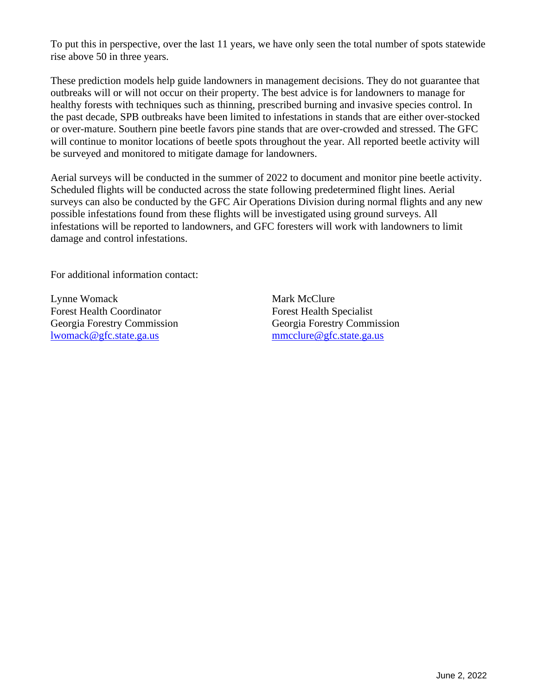To put this in perspective, over the last 11 years, we have only seen the total number of spots statewide rise above 50 in three years.

These prediction models help guide landowners in management decisions. They do not guarantee that outbreaks will or will not occur on their property. The best advice is for landowners to manage for healthy forests with techniques such as thinning, prescribed burning and invasive species control. In the past decade, SPB outbreaks have been limited to infestations in stands that are either over-stocked or over-mature. Southern pine beetle favors pine stands that are over-crowded and stressed. The GFC will continue to monitor locations of beetle spots throughout the year. All reported beetle activity will be surveyed and monitored to mitigate damage for landowners.

Aerial surveys will be conducted in the summer of 2022 to document and monitor pine beetle activity. Scheduled flights will be conducted across the state following predetermined flight lines. Aerial surveys can also be conducted by the GFC Air Operations Division during normal flights and any new possible infestations found from these flights will be investigated using ground surveys. All infestations will be reported to landowners, and GFC foresters will work with landowners to limit damage and control infestations.

For additional information contact:

Lynne Womack Mark McClure Forest Health Coordinator **Forest Health Specialist** [lwomack@gfc.state.ga.us](mailto:cbates@gfc.state.ga.us) [mmcclure@gfc.state.ga.us](mailto:mmcclure@gfc.state.ga.us)

Georgia Forestry Commission Georgia Forestry Commission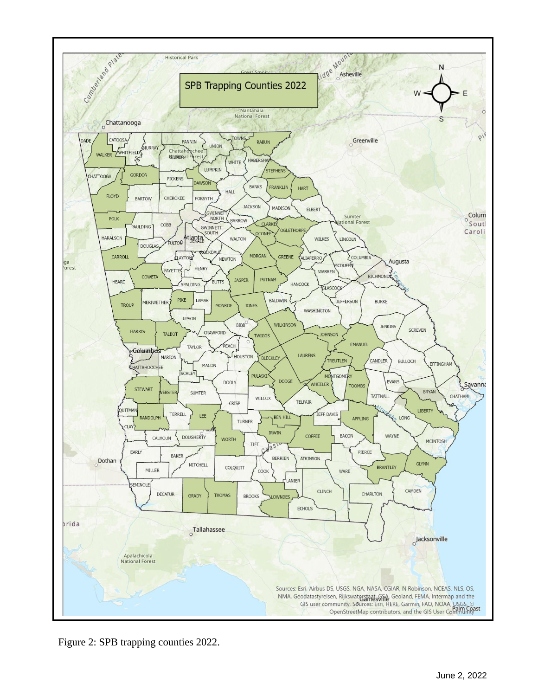

Figure 2: SPB trapping counties 2022.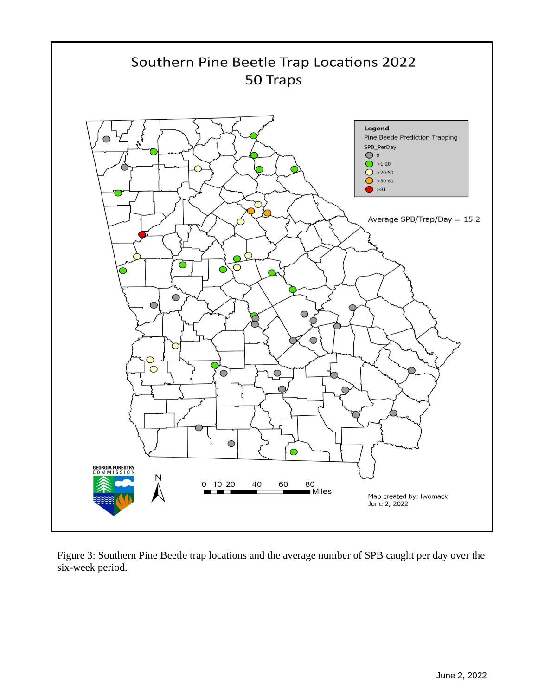

Figure 3: Southern Pine Beetle trap locations and the average number of SPB caught per day over the six-week period.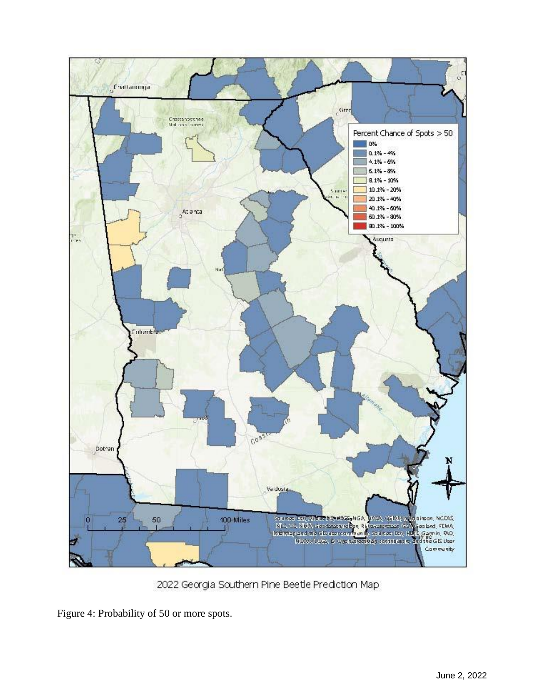

2022 Georgia Southern Pine Beetle Prediction Map

Figure 4: Probability of 50 or more spots.